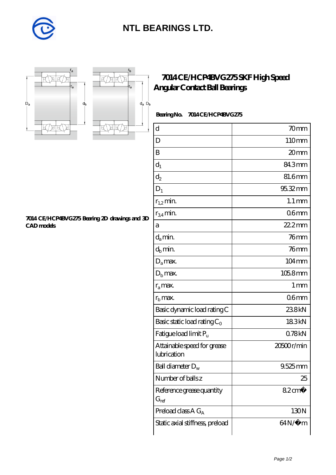

## **[NTL BEARINGS LTD.](https://m.diabetesfriends.net)**



**[CAD models](https://m.diabetesfriends.net/pic-590857.html)**



r<sub>b</sub>

**[7014 CE/HCP4BVG275 Bearing 2D drawings and 3D](https://m.diabetesfriends.net/pic-590857.html)**

## **[7014 CE/HCP4BVG275 SKF High Speed](https://m.diabetesfriends.net/skf-bearing/7014-ce-hcp4bvg275.html) [Angular Contact Ball Bearings](https://m.diabetesfriends.net/skf-bearing/7014-ce-hcp4bvg275.html)**

 **Bearing No. 7014 CE/HCP4BVG275**

| d                                          | 70mm                |
|--------------------------------------------|---------------------|
| D                                          | 110mm               |
| B                                          | 20mm                |
| $\mathbf{d}_1$                             | 84.3mm              |
| $d_2$                                      | 81.6mm              |
| $D_1$                                      | $95.32$ mm          |
| $r_{1,2}$ min.                             | $1.1 \,\mathrm{mm}$ |
| $r_{34}$ min.                              | 06 <sub>mm</sub>    |
| a                                          | $222$ mm            |
| $d_a$ min.                                 | 76mm                |
| $d_b$ min.                                 | $76$ mm             |
| $D_a$ max.                                 | $104 \text{mm}$     |
| $D_{b}$ max.                               | $1058$ mm           |
| $r_a$ max.                                 | 1 <sub>mm</sub>     |
| $rb$ max.                                  | 06mm                |
| Basic dynamic load rating C                | 238kN               |
| Basic static load rating $C_0$             | 183kN               |
| Fatigue load limit $P_u$                   | 078kN               |
| Attainable speed for grease<br>lubrication | 20500r/min          |
| Ball diameter $D_w$                        | $9.525$ mm          |
| Number of balls z                          | 25                  |
| Reference grease quantity<br>$G_{ref}$     | $82 \text{cm}^3$    |
| Preload class $A G_A$                      | 130 <sub>N</sub>    |
| Static axial stiffness, preload            | $64N/\mu$ m         |